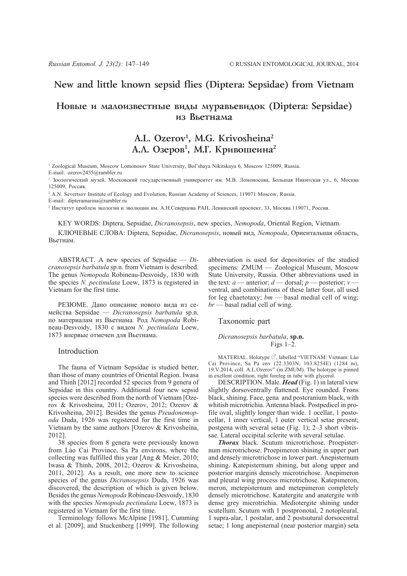## **New and little known sepsid flies (Diptera: Sepsidae) from Vietnam**

## Новые и малоизвестные виды муравьевидок (Diptera: Sepsidae) из Въетнама

# **A.L. Ozerov1 , M.G. Krivosheina2** А.Л. Озеров<sup>1</sup>, М.Г. Кривошеина<sup>2</sup>

1 Zoological Museum, Moscow Lomonosov State University, Bol'shaya Nikitskaya 6, Moscow 125009, Russia. E-mail: ozerov2455@rambler.ru

<sup>1</sup> Зоологический музей, Московский государственный университет им. М.В. Ломоносова, Большая Никитская ул., 6, Москва 125009, Россия.

<sup>2</sup> A.N. Severtsov Institute of Ecology and Evolution, Russian Academy of Sciences, 119071 Moscow, Russia.

E-mail: dipteramarina@rambler.ru

<sup>2</sup> Институт проблем экологии и эволюции им. А.Н.Северцова РАН, Ленинский проспект, 33, Москва 119071, Россия.

KEY WORDS: Diptera, Sepsidae, *Dicranosepsis*, new species, *Nemopoda*, Oriental Region, Vietnam.

КЛЮЧЕВЫЕ СЛОВА: Diptera, Sepsidae, *Dicranosepsis*, новый вид, *Nemopoda*, Ориентальная область, Вьетнам.

ABSTRACT. A new species of Sepsidae — *Dicranosepsis barbatula* sp.n. from Vietnam is described. The genus *Nemopoda* Robineau-Desvoidy, 1830 with the species *N. pectinulata* Loew, 1873 is registered in Vietnam for the first time.

РЕЗЮМЕ. Дано описание нового вида из семейства Sepsidae — *Dicranosepsis barbatula* sp.n. по материалам из Вьетнама. Род *Nemopoda* Robineau-Desvoidy, 1830 с видом *N. pectinulata* Loew, 1873 впервые отмечен для Вьетнама.

#### Introduction

The fauna of Vietnam Sepsidae is studied better, than those of many countries of Oriental Region. Iwasa and Thinh [2012] recorded 52 species from 9 genera of Sepsidae in this country. Additional four new sepsid species were described from the north of Vietnam [Ozerov & Krivosheina, 2011; Ozerov, 2012; Ozerov & Krivosheina, 2012]. Besides the genus *Pseudonemopoda* Duda, 1926 was registered for the first time in Vietnam by the same authors [Ozerov & Krivosheina, 2012].

38 species from 8 genera were previously known from Lào Cai Province, Sa Pa environs, where the collecting was fulfilled this year [Ang & Meier, 2010; Iwasa & Thinh, 2008, 2012; Ozerov & Krivosheina, 2011, 2012]. As a result, one more new to science species of the genus *Dicranosepsis* Duda, 1926 was discovered, the description of which is given below. Besides the genus *Nemopoda* Robineau-Desvoidy, 1830 with the species *Nemopoda pectinulata* Loew, 1873 is registered in Vietnam for the first time.

Terminology follows McAlpine [1981], Cumming et al. [2009], and Stuckenberg [1999]. The following abbreviation is used for depositories of the studied specimens: ZMUM — Zoological Museum, Moscow State University, Russia. Other abbreviations used in the text: *a* — anterior; *d* — dorsal; *p* — posterior; *v* ventral, and combinations of these latter four, all used for leg chaetotaxy; *bm* — basal medial cell of wing; *br* — basal radial cell of wing.

#### Taxonomic part

#### *Dicranosepsis barbatula*, **sp.n.** Figs  $1-\overline{2}$ .

MATERIAL. Holotype  $\circlearrowleft$ , labelled "VIETNAM: Vietnam: Lào Cai Province, Sa Pa env (22.3303N, 103.8254E) (1284 m), 19.V.2014, coll. A.L.Ozerov" (in ZMUM). The holotype is pinned in exellent condition, right foreleg in tube with glycerol.

DESCRIPTION. Male. *Head* (Fig. 1) in lateral view slightly dorsoventrally flattened. Eye rounded. Frons black, shining. Face, gena and postcranium black, with whitish microtrichia. Antenna black. Postpedicel in profile oval, slightly longer than wide. 1 ocellar, 1 postocellar, 1 inner vertical, 1 outer vertical setae present; postgena with several setae (Fig. 1); 2–3 short vibrissae. Lateral occipital sclerite with several setulae.

*Thorax* black. Scutum microtrichose. Proepisternum microtrichose. Proepimeron shining in upper part and densely microtrichose in lower part. Anepisternum shining. Katepisternum shining, but along upper and posterior margins densely microtrichose. Anepimeron and pleural wing process microtrichose. Katepimeron, meron, metepisternum and metepimeron completely densely microtrichose. Katatergite and anatergite with dense grey microtrichia. Mediotergite shining under scutellum. Scutum with 1 postpronotal, 2 notopleural, 1 supra-alar, 1 postalar, and 2 postsutural dorsocentral setae; 1 long anepisternal (near posterior margin) seta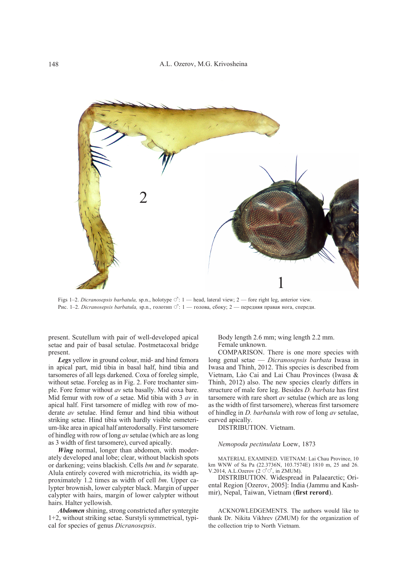

Figs 1–2. *Dicranosepsis barbatula*, sp.n., holotype  $\circ$ : 1 — head, lateral view; 2 — fore right leg, anterior view. Рис. 1-2. *Dicranosepsis barbatula*, sp.n., голотип  $\sigma$ : 1 — голова, сбоку; 2 — передняя правая нога, спереди.

present. Scutellum with pair of well-developed apical setae and pair of basal setulae. Postmetacoxal bridge present.

*Legs* yellow in ground colour, mid- and hind femora in apical part, mid tibia in basal half, hind tibia and tarsomeres of all legs darkened. Coxa of foreleg simple, without setae. Foreleg as in Fig. 2. Fore trochanter simple. Fore femur without *av* seta basally. Mid coxa bare. Mid femur with row of *a* setae. Mid tibia with 3 *av* in apical half. First tarsomere of midleg with row of moderate *av* setulae. Hind femur and hind tibia without striking setae. Hind tibia with hardly visible osmeterium-like area in apical half anterodorsally. First tarsomere of hindleg with row of long *av* setulae (which are as long as 3 width of first tarsomere), curved apically.

*Wing* normal, longer than abdomen, with moderately developed anal lobe; clear, without blackish spots or darkening; veins blackish. Cells *bm* and *br* separate. Alula entirely covered with microtrichia, its width approximately 1.2 times as width of cell *bm*. Upper calypter brownish, lower calypter black. Margin of upper calypter with hairs, margin of lower calypter without hairs. Halter yellowish.

*Abdomen* shining, strong constricted after syntergite 1+2, without striking setae. Surstyli symmetrical, typical for species of genus *Dicranosepsis*.

Body length 2.6 mm; wing length 2.2 mm. Female unknown.

COMPARISON. There is one more species with long genal setae — *Dicranosepsis barbata* Iwasa in Iwasa and Thinh, 2012. This species is described from Vietnam, Lào Cai and Lai Chau Provinces (Iwasa & Thinh, 2012) also. The new species clearly differs in structure of male fore leg. Besides *D. barbata* has first tarsomere with rare short *av* setulae (which are as long as the width of first tarsomere), whereas first tarsomere of hindleg in *D. barbatula* with row of long *av* setulae, curved apically.

DISTRIBUTION. Vietnam.

#### *Nemopoda pectinulata* Loew, 1873

MATERIAL EXAMINED. VIETNAM: Lai Chau Province, 10 km WNW of Sa Pa (22.3736N, 103.7574E) 1810 m, 25 and 26. V.2014, A.L.Ozerov  $(2 \circ \circ \circ)$ , in ZMUM).

DISTRIBUTION. Widespread in Palaearctic; Oriental Region [Ozerov, 2005]: India (Jammu and Kashmir), Nepal, Taiwan, Vietnam (**first rerord**).

ACKNOWLEDGEMENTS. The authors would like to thank Dr. Nikita Vikhrev (ZMUM) for the organization of the collection trip to North Vietnam.